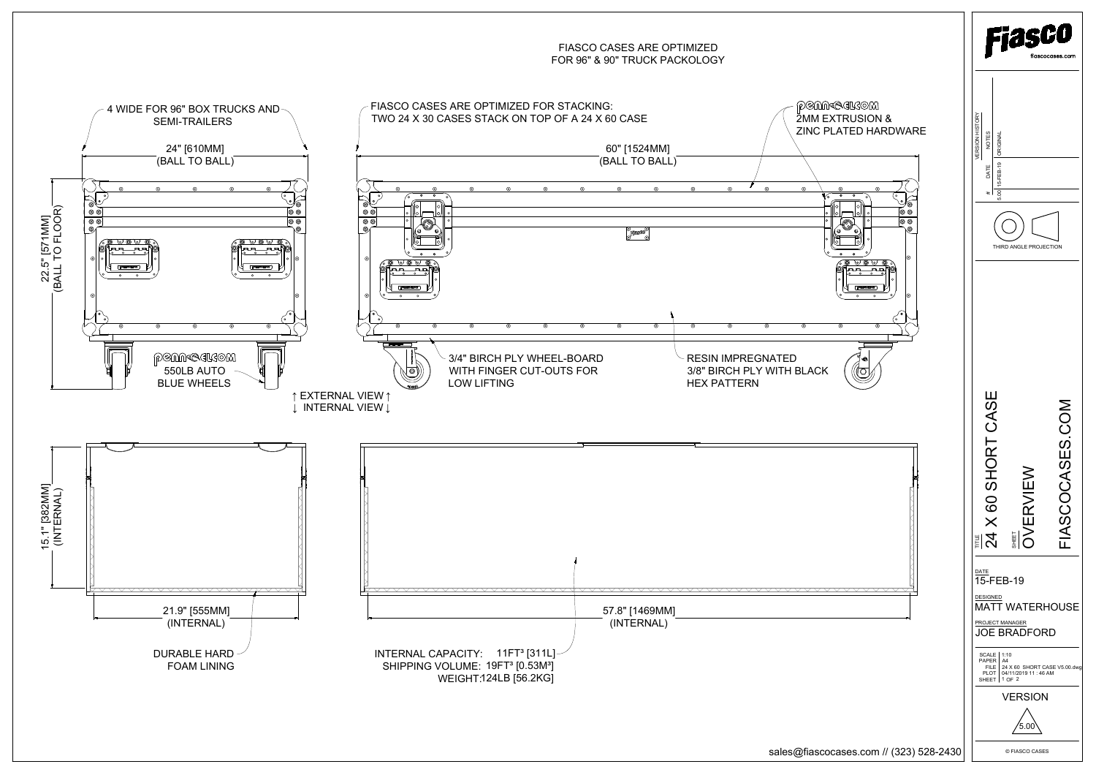

sales@fiascocases.com // (323) 528-2430

© FIASCO CASES